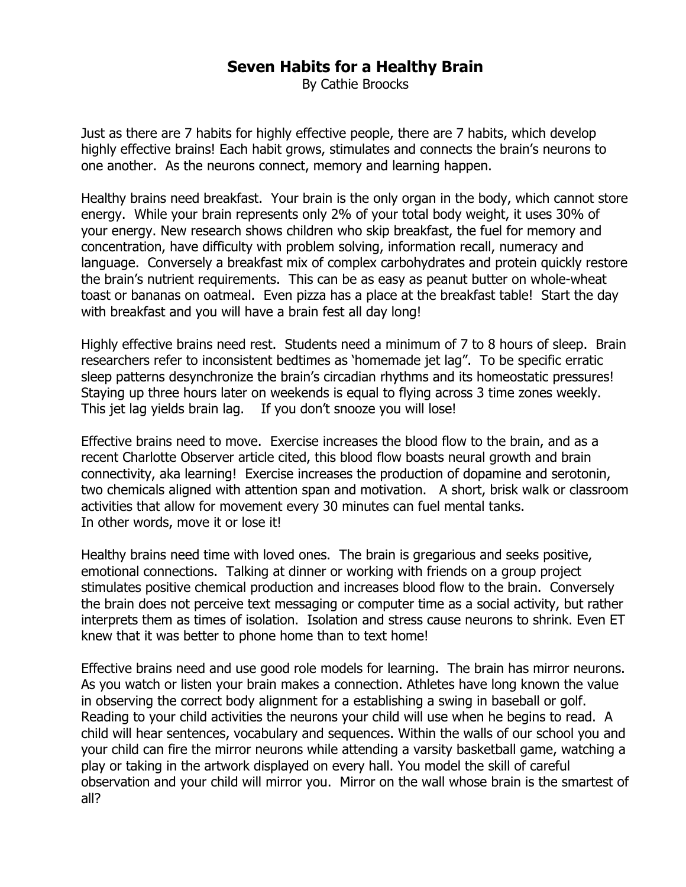## **Seven Habits for a Healthy Brain**

By Cathie Broocks

Just as there are 7 habits for highly effective people, there are 7 habits, which develop highly effective brains! Each habit grows, stimulates and connects the brain's neurons to one another. As the neurons connect, memory and learning happen.

Healthy brains need breakfast. Your brain is the only organ in the body, which cannot store energy. While your brain represents only 2% of your total body weight, it uses 30% of your energy. New research shows children who skip breakfast, the fuel for memory and concentration, have difficulty with problem solving, information recall, numeracy and language. Conversely a breakfast mix of complex carbohydrates and protein quickly restore the brain's nutrient requirements. This can be as easy as peanut butter on whole-wheat toast or bananas on oatmeal. Even pizza has a place at the breakfast table! Start the day with breakfast and you will have a brain fest all day long!

Highly effective brains need rest. Students need a minimum of 7 to 8 hours of sleep. Brain researchers refer to inconsistent bedtimes as 'homemade jet lag". To be specific erratic sleep patterns desynchronize the brain's circadian rhythms and its homeostatic pressures! Staying up three hours later on weekends is equal to flying across 3 time zones weekly. This jet lag yields brain lag. If you don't snooze you will lose!

Effective brains need to move. Exercise increases the blood flow to the brain, and as a recent Charlotte Observer article cited, this blood flow boasts neural growth and brain connectivity, aka learning! Exercise increases the production of dopamine and serotonin, two chemicals aligned with attention span and motivation. A short, brisk walk or classroom activities that allow for movement every 30 minutes can fuel mental tanks. In other words, move it or lose it!

Healthy brains need time with loved ones. The brain is gregarious and seeks positive, emotional connections. Talking at dinner or working with friends on a group project stimulates positive chemical production and increases blood flow to the brain. Conversely the brain does not perceive text messaging or computer time as a social activity, but rather interprets them as times of isolation. Isolation and stress cause neurons to shrink. Even ET knew that it was better to phone home than to text home!

Effective brains need and use good role models for learning. The brain has mirror neurons. As you watch or listen your brain makes a connection. Athletes have long known the value in observing the correct body alignment for a establishing a swing in baseball or golf. Reading to your child activities the neurons your child will use when he begins to read. A child will hear sentences, vocabulary and sequences. Within the walls of our school you and your child can fire the mirror neurons while attending a varsity basketball game, watching a play or taking in the artwork displayed on every hall. You model the skill of careful observation and your child will mirror you. Mirror on the wall whose brain is the smartest of all?